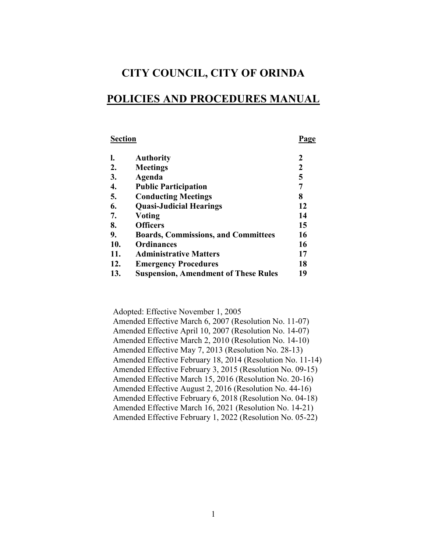# **CITY COUNCIL, CITY OF ORINDA**

# **POLICIES AND PROCEDURES MANUAL**

# **Section Page**

| l.               | <b>Authority</b>                            | 2  |
|------------------|---------------------------------------------|----|
| $\overline{2}$ . | <b>Meetings</b>                             | 2  |
| 3.               | Agenda                                      | 5  |
| 4.               | <b>Public Participation</b>                 |    |
| 5.               | <b>Conducting Meetings</b>                  | 8  |
| 6.               | <b>Quasi-Judicial Hearings</b>              | 12 |
| 7.               | <b>Voting</b>                               | 14 |
| 8.               | <b>Officers</b>                             | 15 |
| 9.               | <b>Boards, Commissions, and Committees</b>  | 16 |
| 10.              | <b>Ordinances</b>                           | 16 |
| 11.              | <b>Administrative Matters</b>               | 17 |
| 12.              | <b>Emergency Procedures</b>                 | 18 |
| 13.              | <b>Suspension, Amendment of These Rules</b> | 19 |

Adopted: Effective November 1, 2005

| Amended Effective March 6, 2007 (Resolution No. 11-07)     |
|------------------------------------------------------------|
| Amended Effective April 10, 2007 (Resolution No. 14-07)    |
| Amended Effective March 2, 2010 (Resolution No. 14-10)     |
| Amended Effective May 7, 2013 (Resolution No. 28-13)       |
| Amended Effective February 18, 2014 (Resolution No. 11-14) |
| Amended Effective February 3, 2015 (Resolution No. 09-15)  |
| Amended Effective March 15, 2016 (Resolution No. 20-16)    |
| Amended Effective August 2, 2016 (Resolution No. 44-16)    |
| Amended Effective February 6, 2018 (Resolution No. 04-18)  |
| Amended Effective March 16, 2021 (Resolution No. 14-21)    |
| Amended Effective February 1, 2022 (Resolution No. 05-22)  |
|                                                            |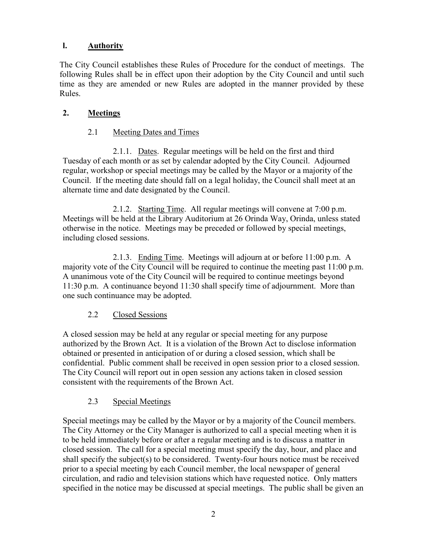# **l. Authority**

The City Council establishes these Rules of Procedure for the conduct of meetings. The following Rules shall be in effect upon their adoption by the City Council and until such time as they are amended or new Rules are adopted in the manner provided by these Rules.

### **2. Meetings**

### 2.1 Meeting Dates and Times

2.1.1. Dates. Regular meetings will be held on the first and third Tuesday of each month or as set by calendar adopted by the City Council. Adjourned regular, workshop or special meetings may be called by the Mayor or a majority of the Council. If the meeting date should fall on a legal holiday, the Council shall meet at an alternate time and date designated by the Council.

2.1.2. Starting Time. All regular meetings will convene at 7:00 p.m. Meetings will be held at the Library Auditorium at 26 Orinda Way, Orinda, unless stated otherwise in the notice. Meetings may be preceded or followed by special meetings, including closed sessions.

2.1.3. Ending Time. Meetings will adjourn at or before 11:00 p.m. A majority vote of the City Council will be required to continue the meeting past 11:00 p.m. A unanimous vote of the City Council will be required to continue meetings beyond 11:30 p.m. A continuance beyond 11:30 shall specify time of adjournment. More than one such continuance may be adopted.

### 2.2 Closed Sessions

A closed session may be held at any regular or special meeting for any purpose authorized by the Brown Act. It is a violation of the Brown Act to disclose information obtained or presented in anticipation of or during a closed session, which shall be confidential. Public comment shall be received in open session prior to a closed session. The City Council will report out in open session any actions taken in closed session consistent with the requirements of the Brown Act.

### 2.3 Special Meetings

Special meetings may be called by the Mayor or by a majority of the Council members. The City Attorney or the City Manager is authorized to call a special meeting when it is to be held immediately before or after a regular meeting and is to discuss a matter in closed session. The call for a special meeting must specify the day, hour, and place and shall specify the subject(s) to be considered. Twenty-four hours notice must be received prior to a special meeting by each Council member, the local newspaper of general circulation, and radio and television stations which have requested notice. Only matters specified in the notice may be discussed at special meetings. The public shall be given an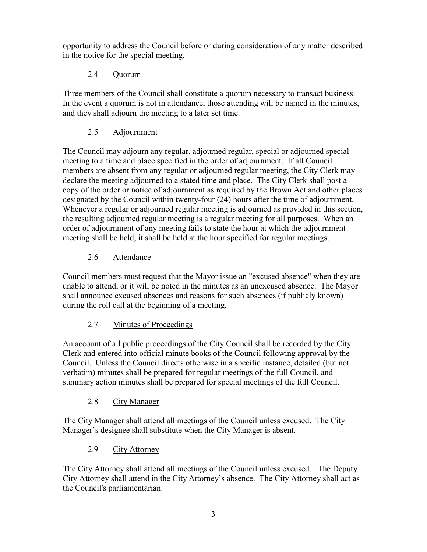opportunity to address the Council before or during consideration of any matter described in the notice for the special meeting.

# 2.4 Quorum

Three members of the Council shall constitute a quorum necessary to transact business. In the event a quorum is not in attendance, those attending will be named in the minutes, and they shall adjourn the meeting to a later set time.

# 2.5 Adjournment

The Council may adjourn any regular, adjourned regular, special or adjourned special meeting to a time and place specified in the order of adjournment. If all Council members are absent from any regular or adjourned regular meeting, the City Clerk may declare the meeting adjourned to a stated time and place. The City Clerk shall post a copy of the order or notice of adjournment as required by the Brown Act and other places designated by the Council within twenty-four (24) hours after the time of adjournment. Whenever a regular or adjourned regular meeting is adjourned as provided in this section, the resulting adjourned regular meeting is a regular meeting for all purposes. When an order of adjournment of any meeting fails to state the hour at which the adjournment meeting shall be held, it shall be held at the hour specified for regular meetings.

# 2.6 Attendance

Council members must request that the Mayor issue an "excused absence" when they are unable to attend, or it will be noted in the minutes as an unexcused absence. The Mayor shall announce excused absences and reasons for such absences (if publicly known) during the roll call at the beginning of a meeting.

# 2.7 Minutes of Proceedings

An account of all public proceedings of the City Council shall be recorded by the City Clerk and entered into official minute books of the Council following approval by the Council. Unless the Council directs otherwise in a specific instance, detailed (but not verbatim) minutes shall be prepared for regular meetings of the full Council, and summary action minutes shall be prepared for special meetings of the full Council.

# 2.8 City Manager

The City Manager shall attend all meetings of the Council unless excused. The City Manager's designee shall substitute when the City Manager is absent.

# 2.9 City Attorney

The City Attorney shall attend all meetings of the Council unless excused. The Deputy City Attorney shall attend in the City Attorney's absence. The City Attorney shall act as the Council's parliamentarian.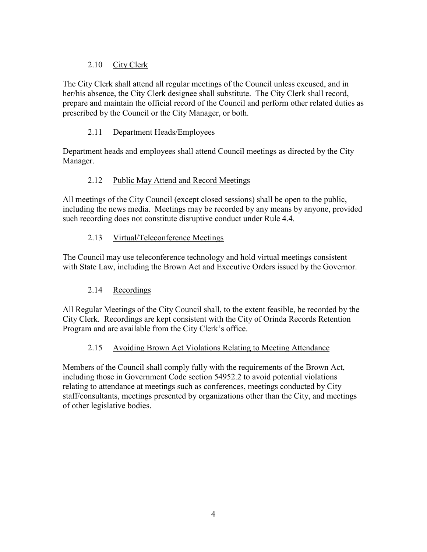# 2.10 City Clerk

The City Clerk shall attend all regular meetings of the Council unless excused, and in her/his absence, the City Clerk designee shall substitute. The City Clerk shall record, prepare and maintain the official record of the Council and perform other related duties as prescribed by the Council or the City Manager, or both.

### 2.11 Department Heads/Employees

Department heads and employees shall attend Council meetings as directed by the City Manager.

### 2.12 Public May Attend and Record Meetings

All meetings of the City Council (except closed sessions) shall be open to the public, including the news media. Meetings may be recorded by any means by anyone, provided such recording does not constitute disruptive conduct under Rule 4.4.

# 2.13 Virtual/Teleconference Meetings

The Council may use teleconference technology and hold virtual meetings consistent with State Law, including the Brown Act and Executive Orders issued by the Governor.

# 2.14 Recordings

All Regular Meetings of the City Council shall, to the extent feasible, be recorded by the City Clerk. Recordings are kept consistent with the City of Orinda Records Retention Program and are available from the City Clerk's office.

# 2.15 Avoiding Brown Act Violations Relating to Meeting Attendance

Members of the Council shall comply fully with the requirements of the Brown Act, including those in Government Code section 54952.2 to avoid potential violations relating to attendance at meetings such as conferences, meetings conducted by City staff/consultants, meetings presented by organizations other than the City, and meetings of other legislative bodies.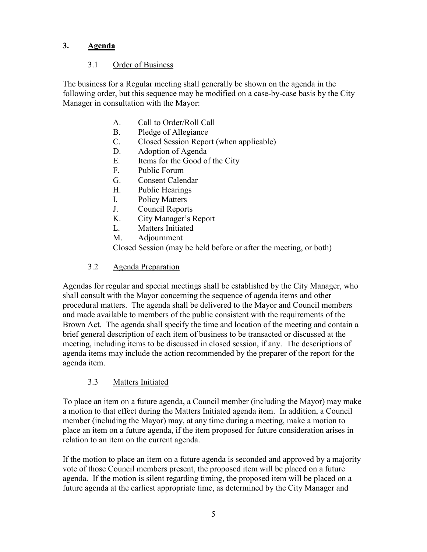### **3. Agenda**

### 3.1 Order of Business

The business for a Regular meeting shall generally be shown on the agenda in the following order, but this sequence may be modified on a case-by-case basis by the City Manager in consultation with the Mayor:

- A. Call to Order/Roll Call
- B. Pledge of Allegiance
- C. Closed Session Report (when applicable)
- D. Adoption of Agenda
- E. Items for the Good of the City
- F. Public Forum
- G. Consent Calendar
- H. Public Hearings
- I. Policy Matters
- J. Council Reports
- K. City Manager's Report
- L. Matters Initiated
- M. Adjournment

Closed Session (may be held before or after the meeting, or both)

### 3.2 Agenda Preparation

Agendas for regular and special meetings shall be established by the City Manager, who shall consult with the Mayor concerning the sequence of agenda items and other procedural matters. The agenda shall be delivered to the Mayor and Council members and made available to members of the public consistent with the requirements of the Brown Act. The agenda shall specify the time and location of the meeting and contain a brief general description of each item of business to be transacted or discussed at the meeting, including items to be discussed in closed session, if any. The descriptions of agenda items may include the action recommended by the preparer of the report for the agenda item.

### 3.3 Matters Initiated

To place an item on a future agenda, a Council member (including the Mayor) may make a motion to that effect during the Matters Initiated agenda item. In addition, a Council member (including the Mayor) may, at any time during a meeting, make a motion to place an item on a future agenda, if the item proposed for future consideration arises in relation to an item on the current agenda.

If the motion to place an item on a future agenda is seconded and approved by a majority vote of those Council members present, the proposed item will be placed on a future agenda. If the motion is silent regarding timing, the proposed item will be placed on a future agenda at the earliest appropriate time, as determined by the City Manager and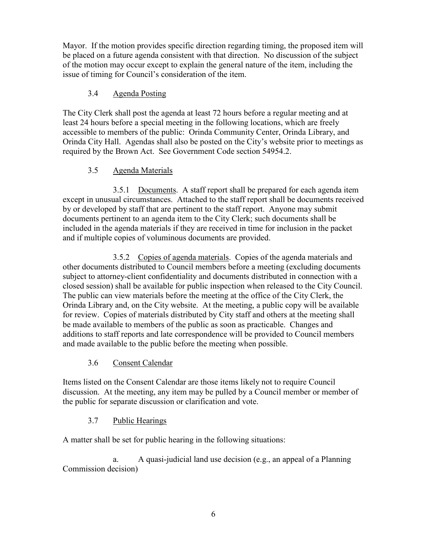Mayor. If the motion provides specific direction regarding timing, the proposed item will be placed on a future agenda consistent with that direction. No discussion of the subject of the motion may occur except to explain the general nature of the item, including the issue of timing for Council's consideration of the item.

### 3.4 Agenda Posting

The City Clerk shall post the agenda at least 72 hours before a regular meeting and at least 24 hours before a special meeting in the following locations, which are freely accessible to members of the public: Orinda Community Center, Orinda Library, and Orinda City Hall. Agendas shall also be posted on the City's website prior to meetings as required by the Brown Act. See Government Code section 54954.2.

### 3.5 Agenda Materials

3.5.1 Documents. A staff report shall be prepared for each agenda item except in unusual circumstances. Attached to the staff report shall be documents received by or developed by staff that are pertinent to the staff report. Anyone may submit documents pertinent to an agenda item to the City Clerk; such documents shall be included in the agenda materials if they are received in time for inclusion in the packet and if multiple copies of voluminous documents are provided.

3.5.2 Copies of agenda materials. Copies of the agenda materials and other documents distributed to Council members before a meeting (excluding documents subject to attorney-client confidentiality and documents distributed in connection with a closed session) shall be available for public inspection when released to the City Council. The public can view materials before the meeting at the office of the City Clerk, the Orinda Library and, on the City website. At the meeting, a public copy will be available for review. Copies of materials distributed by City staff and others at the meeting shall be made available to members of the public as soon as practicable. Changes and additions to staff reports and late correspondence will be provided to Council members and made available to the public before the meeting when possible.

# 3.6 Consent Calendar

Items listed on the Consent Calendar are those items likely not to require Council discussion. At the meeting, any item may be pulled by a Council member or member of the public for separate discussion or clarification and vote.

# 3.7 Public Hearings

A matter shall be set for public hearing in the following situations:

a. A quasi-judicial land use decision (e.g., an appeal of a Planning Commission decision)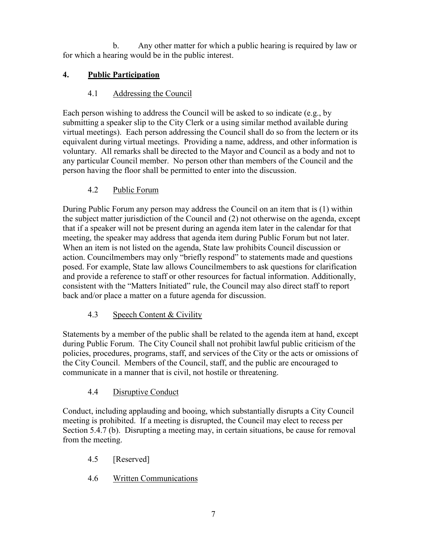b. Any other matter for which a public hearing is required by law or for which a hearing would be in the public interest.

# **4. Public Participation**

# 4.1 Addressing the Council

Each person wishing to address the Council will be asked to so indicate (e.g., by submitting a speaker slip to the City Clerk or a using similar method available during virtual meetings). Each person addressing the Council shall do so from the lectern or its equivalent during virtual meetings. Providing a name, address, and other information is voluntary. All remarks shall be directed to the Mayor and Council as a body and not to any particular Council member. No person other than members of the Council and the person having the floor shall be permitted to enter into the discussion.

# 4.2 Public Forum

During Public Forum any person may address the Council on an item that is (1) within the subject matter jurisdiction of the Council and (2) not otherwise on the agenda, except that if a speaker will not be present during an agenda item later in the calendar for that meeting, the speaker may address that agenda item during Public Forum but not later. When an item is not listed on the agenda, State law prohibits Council discussion or action. Councilmembers may only "briefly respond" to statements made and questions posed. For example, State law allows Councilmembers to ask questions for clarification and provide a reference to staff or other resources for factual information. Additionally, consistent with the "Matters Initiated" rule, the Council may also direct staff to report back and/or place a matter on a future agenda for discussion.

# 4.3 Speech Content & Civility

Statements by a member of the public shall be related to the agenda item at hand, except during Public Forum. The City Council shall not prohibit lawful public criticism of the policies, procedures, programs, staff, and services of the City or the acts or omissions of the City Council. Members of the Council, staff, and the public are encouraged to communicate in a manner that is civil, not hostile or threatening.

# 4.4 Disruptive Conduct

Conduct, including applauding and booing, which substantially disrupts a City Council meeting is prohibited. If a meeting is disrupted, the Council may elect to recess per Section 5.4.7 (b). Disrupting a meeting may, in certain situations, be cause for removal from the meeting.

- 4.5 [Reserved]
- 4.6 Written Communications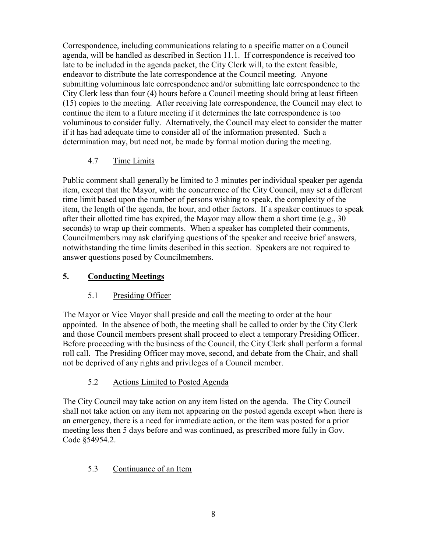Correspondence, including communications relating to a specific matter on a Council agenda, will be handled as described in Section 11.1. If correspondence is received too late to be included in the agenda packet, the City Clerk will, to the extent feasible, endeavor to distribute the late correspondence at the Council meeting. Anyone submitting voluminous late correspondence and/or submitting late correspondence to the City Clerk less than four (4) hours before a Council meeting should bring at least fifteen (15) copies to the meeting. After receiving late correspondence, the Council may elect to continue the item to a future meeting if it determines the late correspondence is too voluminous to consider fully. Alternatively, the Council may elect to consider the matter if it has had adequate time to consider all of the information presented. Such a determination may, but need not, be made by formal motion during the meeting.

# 4.7 Time Limits

Public comment shall generally be limited to 3 minutes per individual speaker per agenda item, except that the Mayor, with the concurrence of the City Council, may set a different time limit based upon the number of persons wishing to speak, the complexity of the item, the length of the agenda, the hour, and other factors. If a speaker continues to speak after their allotted time has expired, the Mayor may allow them a short time (e.g., 30 seconds) to wrap up their comments. When a speaker has completed their comments, Councilmembers may ask clarifying questions of the speaker and receive brief answers, notwithstanding the time limits described in this section. Speakers are not required to answer questions posed by Councilmembers.

### **5. Conducting Meetings**

### 5.1 Presiding Officer

The Mayor or Vice Mayor shall preside and call the meeting to order at the hour appointed. In the absence of both, the meeting shall be called to order by the City Clerk and those Council members present shall proceed to elect a temporary Presiding Officer. Before proceeding with the business of the Council, the City Clerk shall perform a formal roll call. The Presiding Officer may move, second, and debate from the Chair, and shall not be deprived of any rights and privileges of a Council member.

### 5.2 Actions Limited to Posted Agenda

The City Council may take action on any item listed on the agenda. The City Council shall not take action on any item not appearing on the posted agenda except when there is an emergency, there is a need for immediate action, or the item was posted for a prior meeting less then 5 days before and was continued, as prescribed more fully in Gov. Code §54954.2.

### 5.3 Continuance of an Item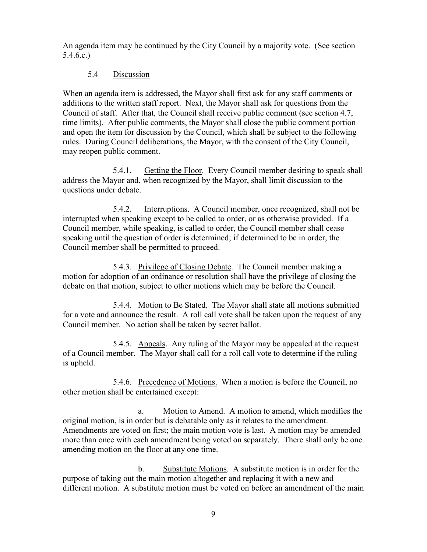An agenda item may be continued by the City Council by a majority vote. (See section 5.4.6.c.)

#### 5.4 Discussion

When an agenda item is addressed, the Mayor shall first ask for any staff comments or additions to the written staff report. Next, the Mayor shall ask for questions from the Council of staff. After that, the Council shall receive public comment (see section 4.7, time limits). After public comments, the Mayor shall close the public comment portion and open the item for discussion by the Council, which shall be subject to the following rules. During Council deliberations, the Mayor, with the consent of the City Council, may reopen public comment.

5.4.1. Getting the Floor. Every Council member desiring to speak shall address the Mayor and, when recognized by the Mayor, shall limit discussion to the questions under debate.

5.4.2. Interruptions. A Council member, once recognized, shall not be interrupted when speaking except to be called to order, or as otherwise provided. If a Council member, while speaking, is called to order, the Council member shall cease speaking until the question of order is determined; if determined to be in order, the Council member shall be permitted to proceed.

5.4.3. Privilege of Closing Debate. The Council member making a motion for adoption of an ordinance or resolution shall have the privilege of closing the debate on that motion, subject to other motions which may be before the Council.

5.4.4. Motion to Be Stated. The Mayor shall state all motions submitted for a vote and announce the result. A roll call vote shall be taken upon the request of any Council member. No action shall be taken by secret ballot.

5.4.5. Appeals. Any ruling of the Mayor may be appealed at the request of a Council member. The Mayor shall call for a roll call vote to determine if the ruling is upheld.

5.4.6. Precedence of Motions. When a motion is before the Council, no other motion shall be entertained except:

a. Motion to Amend. A motion to amend, which modifies the original motion, is in order but is debatable only as it relates to the amendment. Amendments are voted on first; the main motion vote is last. A motion may be amended more than once with each amendment being voted on separately. There shall only be one amending motion on the floor at any one time.

b. Substitute Motions. A substitute motion is in order for the purpose of taking out the main motion altogether and replacing it with a new and different motion. A substitute motion must be voted on before an amendment of the main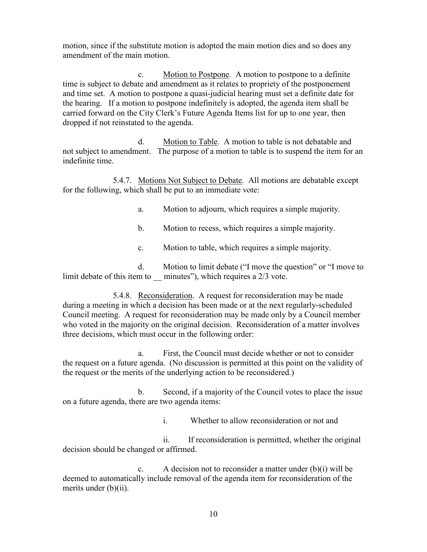motion, since if the substitute motion is adopted the main motion dies and so does any amendment of the main motion.

c. Motion to Postpone. A motion to postpone to a definite time is subject to debate and amendment as it relates to propriety of the postponement and time set. A motion to postpone a quasi-judicial hearing must set a definite date for the hearing. If a motion to postpone indefinitely is adopted, the agenda item shall be carried forward on the City Clerk's Future Agenda Items list for up to one year, then dropped if not reinstated to the agenda.

d. Motion to Table. A motion to table is not debatable and not subject to amendment. The purpose of a motion to table is to suspend the item for an indefinite time.

5.4.7. Motions Not Subject to Debate. All motions are debatable except for the following, which shall be put to an immediate vote:

a. Motion to adjourn, which requires a simple majority.

b. Motion to recess, which requires a simple majority.

c. Motion to table, which requires a simple majority.

d. Motion to limit debate ("I move the question" or "I move to limit debate of this item to minutes"), which requires a 2/3 vote.

5.4.8. Reconsideration. A request for reconsideration may be made during a meeting in which a decision has been made or at the next regularly-scheduled Council meeting. A request for reconsideration may be made only by a Council member who voted in the majority on the original decision. Reconsideration of a matter involves three decisions, which must occur in the following order:

a. First, the Council must decide whether or not to consider the request on a future agenda. (No discussion is permitted at this point on the validity of the request or the merits of the underlying action to be reconsidered.)

b. Second, if a majority of the Council votes to place the issue on a future agenda, there are two agenda items:

i. Whether to allow reconsideration or not and

ii. If reconsideration is permitted, whether the original decision should be changed or affirmed.

c. A decision not to reconsider a matter under (b)(i) will be deemed to automatically include removal of the agenda item for reconsideration of the merits under (b)(ii).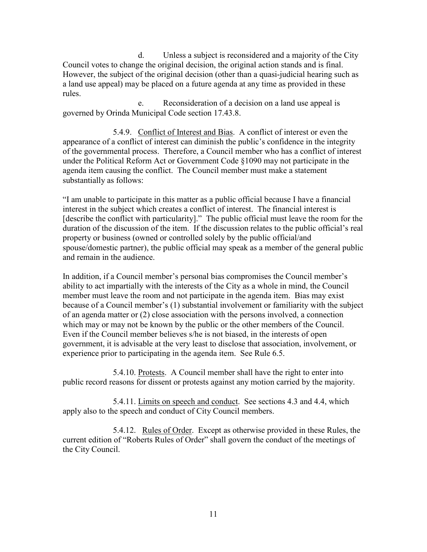d. Unless a subject is reconsidered and a majority of the City Council votes to change the original decision, the original action stands and is final. However, the subject of the original decision (other than a quasi-judicial hearing such as a land use appeal) may be placed on a future agenda at any time as provided in these rules.

e. Reconsideration of a decision on a land use appeal is governed by Orinda Municipal Code section 17.43.8.

5.4.9. Conflict of Interest and Bias. A conflict of interest or even the appearance of a conflict of interest can diminish the public's confidence in the integrity of the governmental process. Therefore, a Council member who has a conflict of interest under the Political Reform Act or Government Code §1090 may not participate in the agenda item causing the conflict. The Council member must make a statement substantially as follows:

"I am unable to participate in this matter as a public official because I have a financial interest in the subject which creates a conflict of interest. The financial interest is [describe the conflict with particularity]." The public official must leave the room for the duration of the discussion of the item. If the discussion relates to the public official's real property or business (owned or controlled solely by the public official/and spouse/domestic partner), the public official may speak as a member of the general public and remain in the audience.

In addition, if a Council member's personal bias compromises the Council member's ability to act impartially with the interests of the City as a whole in mind, the Council member must leave the room and not participate in the agenda item. Bias may exist because of a Council member's (1) substantial involvement or familiarity with the subject of an agenda matter or (2) close association with the persons involved, a connection which may or may not be known by the public or the other members of the Council. Even if the Council member believes s/he is not biased, in the interests of open government, it is advisable at the very least to disclose that association, involvement, or experience prior to participating in the agenda item. See Rule 6.5.

5.4.10. Protests. A Council member shall have the right to enter into public record reasons for dissent or protests against any motion carried by the majority.

5.4.11. Limits on speech and conduct. See sections 4.3 and 4.4, which apply also to the speech and conduct of City Council members.

5.4.12. Rules of Order. Except as otherwise provided in these Rules, the current edition of "Roberts Rules of Order" shall govern the conduct of the meetings of the City Council.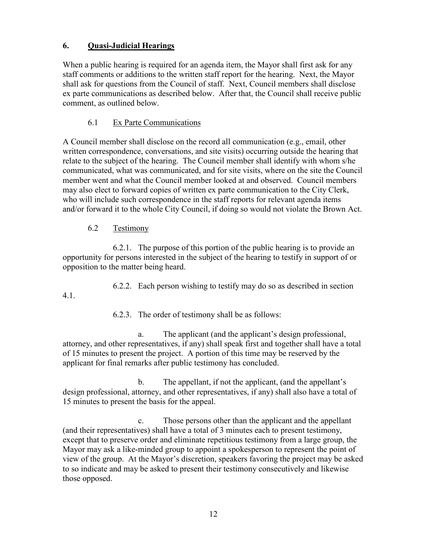### **6. Quasi-Judicial Hearings**

When a public hearing is required for an agenda item, the Mayor shall first ask for any staff comments or additions to the written staff report for the hearing. Next, the Mayor shall ask for questions from the Council of staff. Next, Council members shall disclose ex parte communications as described below. After that, the Council shall receive public comment, as outlined below.

### 6.1 Ex Parte Communications

A Council member shall disclose on the record all communication (e.g., email, other written correspondence, conversations, and site visits) occurring outside the hearing that relate to the subject of the hearing. The Council member shall identify with whom s/he communicated, what was communicated, and for site visits, where on the site the Council member went and what the Council member looked at and observed. Council members may also elect to forward copies of written ex parte communication to the City Clerk, who will include such correspondence in the staff reports for relevant agenda items and/or forward it to the whole City Council, if doing so would not violate the Brown Act.

#### 6.2 Testimony

4.1.

6.2.1. The purpose of this portion of the public hearing is to provide an opportunity for persons interested in the subject of the hearing to testify in support of or opposition to the matter being heard.

6.2.2. Each person wishing to testify may do so as described in section

6.2.3. The order of testimony shall be as follows:

a. The applicant (and the applicant's design professional, attorney, and other representatives, if any) shall speak first and together shall have a total of 15 minutes to present the project. A portion of this time may be reserved by the applicant for final remarks after public testimony has concluded.

b. The appellant, if not the applicant, (and the appellant's design professional, attorney, and other representatives, if any) shall also have a total of 15 minutes to present the basis for the appeal.

c. Those persons other than the applicant and the appellant (and their representatives) shall have a total of 3 minutes each to present testimony, except that to preserve order and eliminate repetitious testimony from a large group, the Mayor may ask a like-minded group to appoint a spokesperson to represent the point of view of the group. At the Mayor's discretion, speakers favoring the project may be asked to so indicate and may be asked to present their testimony consecutively and likewise those opposed.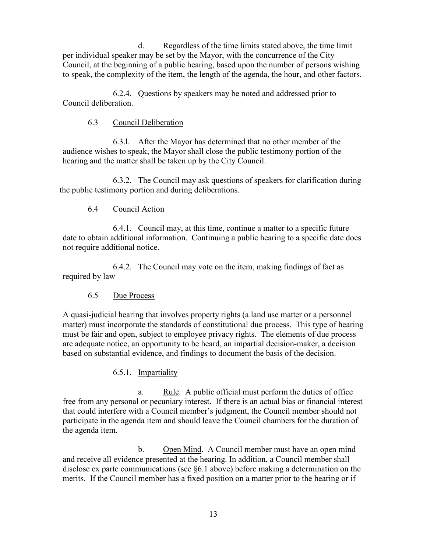d. Regardless of the time limits stated above, the time limit per individual speaker may be set by the Mayor, with the concurrence of the City Council, at the beginning of a public hearing, based upon the number of persons wishing to speak, the complexity of the item, the length of the agenda, the hour, and other factors.

6.2.4. Questions by speakers may be noted and addressed prior to Council deliberation.

#### 6.3 Council Deliberation

6.3.l. After the Mayor has determined that no other member of the audience wishes to speak, the Mayor shall close the public testimony portion of the hearing and the matter shall be taken up by the City Council.

6.3.2. The Council may ask questions of speakers for clarification during the public testimony portion and during deliberations.

### 6.4 Council Action

6.4.1. Council may, at this time, continue a matter to a specific future date to obtain additional information. Continuing a public hearing to a specific date does not require additional notice.

6.4.2. The Council may vote on the item, making findings of fact as required by law

#### 6.5 Due Process

A quasi-judicial hearing that involves property rights (a land use matter or a personnel matter) must incorporate the standards of constitutional due process. This type of hearing must be fair and open, subject to employee privacy rights. The elements of due process are adequate notice, an opportunity to be heard, an impartial decision-maker, a decision based on substantial evidence, and findings to document the basis of the decision.

### 6.5.1. Impartiality

a. Rule. A public official must perform the duties of office free from any personal or pecuniary interest. If there is an actual bias or financial interest that could interfere with a Council member's judgment, the Council member should not participate in the agenda item and should leave the Council chambers for the duration of the agenda item.

b. Open Mind. A Council member must have an open mind and receive all evidence presented at the hearing. In addition, a Council member shall disclose ex parte communications (see §6.1 above) before making a determination on the merits. If the Council member has a fixed position on a matter prior to the hearing or if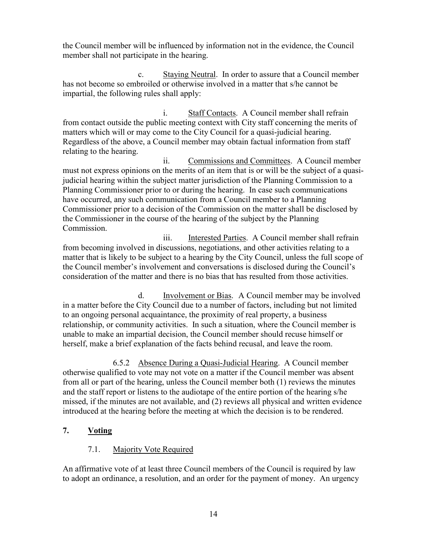the Council member will be influenced by information not in the evidence, the Council member shall not participate in the hearing.

c. Staying Neutral. In order to assure that a Council member has not become so embroiled or otherwise involved in a matter that s/he cannot be impartial, the following rules shall apply:

i. Staff Contacts. A Council member shall refrain from contact outside the public meeting context with City staff concerning the merits of matters which will or may come to the City Council for a quasi-judicial hearing. Regardless of the above, a Council member may obtain factual information from staff relating to the hearing.

ii. Commissions and Committees. A Council member must not express opinions on the merits of an item that is or will be the subject of a quasijudicial hearing within the subject matter jurisdiction of the Planning Commission to a Planning Commissioner prior to or during the hearing. In case such communications have occurred, any such communication from a Council member to a Planning Commissioner prior to a decision of the Commission on the matter shall be disclosed by the Commissioner in the course of the hearing of the subject by the Planning Commission.

iii. Interested Parties. A Council member shall refrain from becoming involved in discussions, negotiations, and other activities relating to a matter that is likely to be subject to a hearing by the City Council, unless the full scope of the Council member's involvement and conversations is disclosed during the Council's consideration of the matter and there is no bias that has resulted from those activities.

d. Involvement or Bias. A Council member may be involved in a matter before the City Council due to a number of factors, including but not limited to an ongoing personal acquaintance, the proximity of real property, a business relationship, or community activities. In such a situation, where the Council member is unable to make an impartial decision, the Council member should recuse himself or herself, make a brief explanation of the facts behind recusal, and leave the room.

6.5.2 Absence During a Quasi-Judicial Hearing. A Council member otherwise qualified to vote may not vote on a matter if the Council member was absent from all or part of the hearing, unless the Council member both (1) reviews the minutes and the staff report or listens to the audiotape of the entire portion of the hearing s/he missed, if the minutes are not available, and (2) reviews all physical and written evidence introduced at the hearing before the meeting at which the decision is to be rendered.

### **7. Voting**

### 7.1. Majority Vote Required

An affirmative vote of at least three Council members of the Council is required by law to adopt an ordinance, a resolution, and an order for the payment of money. An urgency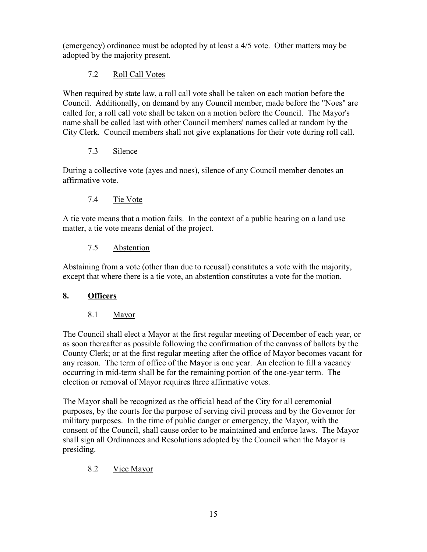(emergency) ordinance must be adopted by at least a 4/5 vote. Other matters may be adopted by the majority present.

# 7.2 Roll Call Votes

When required by state law, a roll call vote shall be taken on each motion before the Council. Additionally, on demand by any Council member, made before the "Noes" are called for, a roll call vote shall be taken on a motion before the Council. The Mayor's name shall be called last with other Council members' names called at random by the City Clerk. Council members shall not give explanations for their vote during roll call.

# 7.3 Silence

During a collective vote (ayes and noes), silence of any Council member denotes an affirmative vote.

# 7.4 Tie Vote

A tie vote means that a motion fails. In the context of a public hearing on a land use matter, a tie vote means denial of the project.

# 7.5 Abstention

Abstaining from a vote (other than due to recusal) constitutes a vote with the majority, except that where there is a tie vote, an abstention constitutes a vote for the motion.

# **8. Officers**

# 8.1 Mayor

The Council shall elect a Mayor at the first regular meeting of December of each year, or as soon thereafter as possible following the confirmation of the canvass of ballots by the County Clerk; or at the first regular meeting after the office of Mayor becomes vacant for any reason. The term of office of the Mayor is one year. An election to fill a vacancy occurring in mid-term shall be for the remaining portion of the one-year term. The election or removal of Mayor requires three affirmative votes.

The Mayor shall be recognized as the official head of the City for all ceremonial purposes, by the courts for the purpose of serving civil process and by the Governor for military purposes. In the time of public danger or emergency, the Mayor, with the consent of the Council, shall cause order to be maintained and enforce laws. The Mayor shall sign all Ordinances and Resolutions adopted by the Council when the Mayor is presiding.

# 8.2 Vice Mayor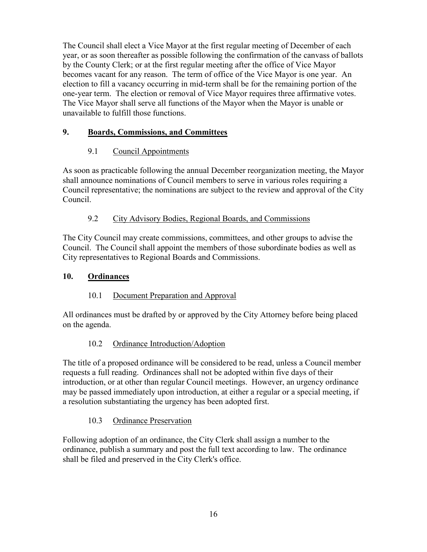The Council shall elect a Vice Mayor at the first regular meeting of December of each year, or as soon thereafter as possible following the confirmation of the canvass of ballots by the County Clerk; or at the first regular meeting after the office of Vice Mayor becomes vacant for any reason. The term of office of the Vice Mayor is one year. An election to fill a vacancy occurring in mid-term shall be for the remaining portion of the one-year term. The election or removal of Vice Mayor requires three affirmative votes. The Vice Mayor shall serve all functions of the Mayor when the Mayor is unable or unavailable to fulfill those functions.

# **9. Boards, Commissions, and Committees**

# 9.1 Council Appointments

As soon as practicable following the annual December reorganization meeting, the Mayor shall announce nominations of Council members to serve in various roles requiring a Council representative; the nominations are subject to the review and approval of the City Council.

# 9.2 City Advisory Bodies, Regional Boards, and Commissions

The City Council may create commissions, committees, and other groups to advise the Council. The Council shall appoint the members of those subordinate bodies as well as City representatives to Regional Boards and Commissions.

# **10. Ordinances**

# 10.1 Document Preparation and Approval

All ordinances must be drafted by or approved by the City Attorney before being placed on the agenda.

# 10.2 Ordinance Introduction/Adoption

The title of a proposed ordinance will be considered to be read, unless a Council member requests a full reading. Ordinances shall not be adopted within five days of their introduction, or at other than regular Council meetings. However, an urgency ordinance may be passed immediately upon introduction, at either a regular or a special meeting, if a resolution substantiating the urgency has been adopted first.

# 10.3 Ordinance Preservation

Following adoption of an ordinance, the City Clerk shall assign a number to the ordinance, publish a summary and post the full text according to law. The ordinance shall be filed and preserved in the City Clerk's office.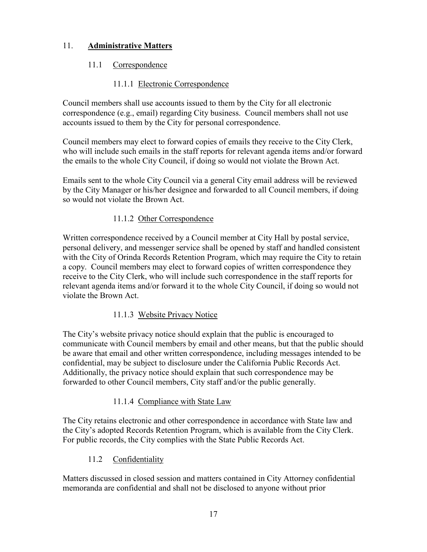# 11. **Administrative Matters**

### 11.1 Correspondence

### 11.1.1 Electronic Correspondence

Council members shall use accounts issued to them by the City for all electronic correspondence (e.g., email) regarding City business. Council members shall not use accounts issued to them by the City for personal correspondence.

Council members may elect to forward copies of emails they receive to the City Clerk, who will include such emails in the staff reports for relevant agenda items and/or forward the emails to the whole City Council, if doing so would not violate the Brown Act.

Emails sent to the whole City Council via a general City email address will be reviewed by the City Manager or his/her designee and forwarded to all Council members, if doing so would not violate the Brown Act.

### 11.1.2 Other Correspondence

Written correspondence received by a Council member at City Hall by postal service, personal delivery, and messenger service shall be opened by staff and handled consistent with the City of Orinda Records Retention Program, which may require the City to retain a copy. Council members may elect to forward copies of written correspondence they receive to the City Clerk, who will include such correspondence in the staff reports for relevant agenda items and/or forward it to the whole City Council, if doing so would not violate the Brown Act.

### 11.1.3 Website Privacy Notice

The City's website privacy notice should explain that the public is encouraged to communicate with Council members by email and other means, but that the public should be aware that email and other written correspondence, including messages intended to be confidential, may be subject to disclosure under the California Public Records Act. Additionally, the privacy notice should explain that such correspondence may be forwarded to other Council members, City staff and/or the public generally.

### 11.1.4 Compliance with State Law

The City retains electronic and other correspondence in accordance with State law and the City's adopted Records Retention Program, which is available from the City Clerk. For public records, the City complies with the State Public Records Act.

### 11.2 Confidentiality

Matters discussed in closed session and matters contained in City Attorney confidential memoranda are confidential and shall not be disclosed to anyone without prior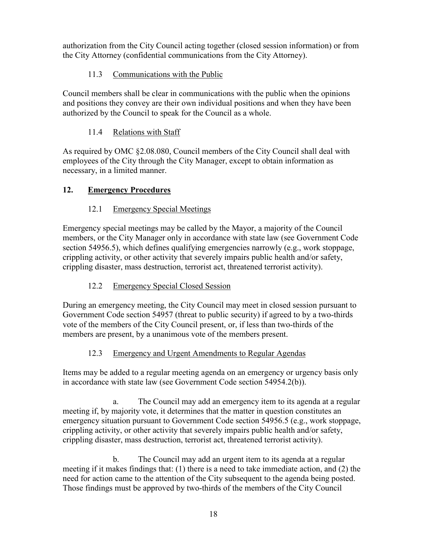authorization from the City Council acting together (closed session information) or from the City Attorney (confidential communications from the City Attorney).

# 11.3 Communications with the Public

Council members shall be clear in communications with the public when the opinions and positions they convey are their own individual positions and when they have been authorized by the Council to speak for the Council as a whole.

# 11.4 Relations with Staff

As required by OMC §2.08.080, Council members of the City Council shall deal with employees of the City through the City Manager, except to obtain information as necessary, in a limited manner.

# **12. Emergency Procedures**

# 12.1 Emergency Special Meetings

Emergency special meetings may be called by the Mayor, a majority of the Council members, or the City Manager only in accordance with state law (see Government Code section 54956.5), which defines qualifying emergencies narrowly (e.g., work stoppage, crippling activity, or other activity that severely impairs public health and/or safety, crippling disaster, mass destruction, terrorist act, threatened terrorist activity).

# 12.2 Emergency Special Closed Session

During an emergency meeting, the City Council may meet in closed session pursuant to Government Code section 54957 (threat to public security) if agreed to by a two-thirds vote of the members of the City Council present, or, if less than two-thirds of the members are present, by a unanimous vote of the members present.

# 12.3 Emergency and Urgent Amendments to Regular Agendas

Items may be added to a regular meeting agenda on an emergency or urgency basis only in accordance with state law (see Government Code section 54954.2(b)).

a. The Council may add an emergency item to its agenda at a regular meeting if, by majority vote, it determines that the matter in question constitutes an emergency situation pursuant to Government Code section 54956.5 (e.g., work stoppage, crippling activity, or other activity that severely impairs public health and/or safety, crippling disaster, mass destruction, terrorist act, threatened terrorist activity).

b. The Council may add an urgent item to its agenda at a regular meeting if it makes findings that: (1) there is a need to take immediate action, and (2) the need for action came to the attention of the City subsequent to the agenda being posted. Those findings must be approved by two-thirds of the members of the City Council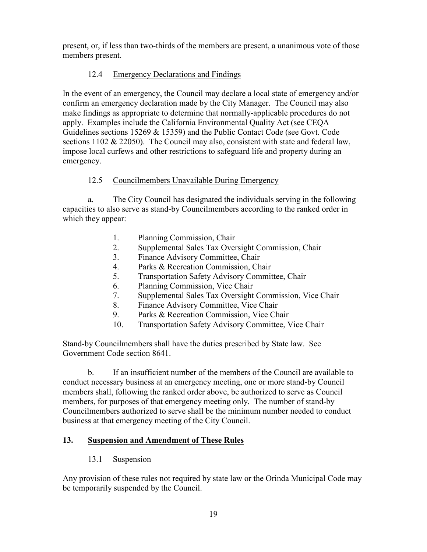present, or, if less than two-thirds of the members are present, a unanimous vote of those members present.

### 12.4 Emergency Declarations and Findings

In the event of an emergency, the Council may declare a local state of emergency and/or confirm an emergency declaration made by the City Manager. The Council may also make findings as appropriate to determine that normally-applicable procedures do not apply. Examples include the California Environmental Quality Act (see CEQA Guidelines sections 15269 & 15359) and the Public Contact Code (see Govt. Code sections 1102 & 22050). The Council may also, consistent with state and federal law, impose local curfews and other restrictions to safeguard life and property during an emergency.

### 12.5 Councilmembers Unavailable During Emergency

a. The City Council has designated the individuals serving in the following capacities to also serve as stand-by Councilmembers according to the ranked order in which they appear:

- 1. Planning Commission, Chair
- 2. Supplemental Sales Tax Oversight Commission, Chair
- 3. Finance Advisory Committee, Chair
- 4. Parks & Recreation Commission, Chair
- 5. Transportation Safety Advisory Committee, Chair
- 6. Planning Commission, Vice Chair
- 7. Supplemental Sales Tax Oversight Commission, Vice Chair
- 8. Finance Advisory Committee, Vice Chair
- 9. Parks & Recreation Commission, Vice Chair
- 10. Transportation Safety Advisory Committee, Vice Chair

Stand-by Councilmembers shall have the duties prescribed by State law. See Government Code section 8641.

b. If an insufficient number of the members of the Council are available to conduct necessary business at an emergency meeting, one or more stand-by Council members shall, following the ranked order above, be authorized to serve as Council members, for purposes of that emergency meeting only. The number of stand-by Councilmembers authorized to serve shall be the minimum number needed to conduct business at that emergency meeting of the City Council.

# **13. Suspension and Amendment of These Rules**

### 13.1 Suspension

Any provision of these rules not required by state law or the Orinda Municipal Code may be temporarily suspended by the Council.